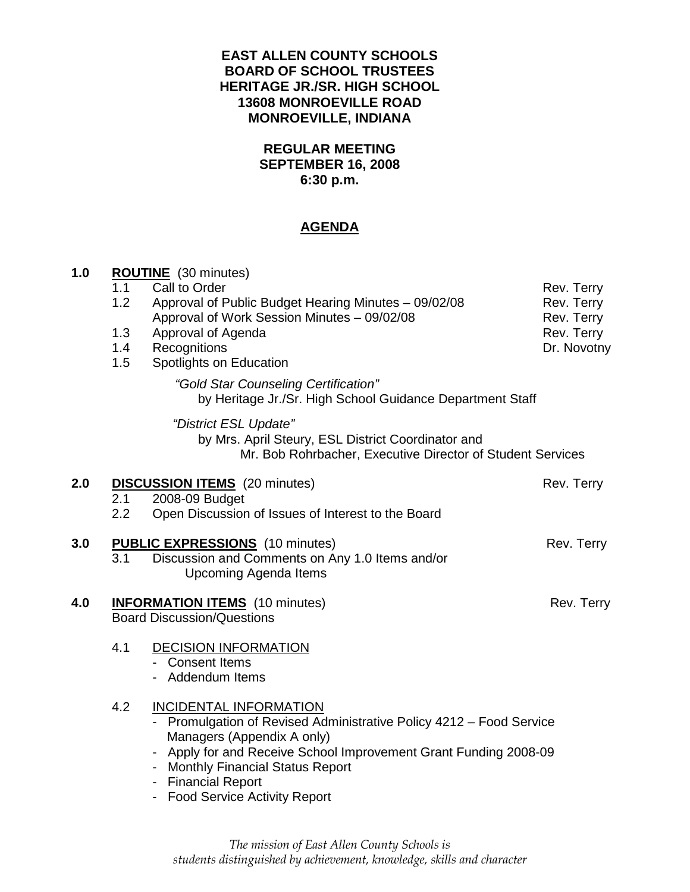# **EAST ALLEN COUNTY SCHOOLS BOARD OF SCHOOL TRUSTEES HERITAGE JR./SR. HIGH SCHOOL 13608 MONROEVILLE ROAD MONROEVILLE, INDIANA**

# **REGULAR MEETING SEPTEMBER 16, 2008 6:30 p.m.**

# **AGENDA**

| 1.0 | 1.1<br>1.2<br>1.3<br>1.4<br>1.5 | <b>ROUTINE</b> (30 minutes)<br>Call to Order<br>Approval of Public Budget Hearing Minutes - 09/02/08<br>Approval of Work Session Minutes - 09/02/08<br>Approval of Agenda<br>Recognitions<br>Spotlights on Education                                                                                | Rev. Terry<br>Rev. Terry<br>Rev. Terry<br>Rev. Terry<br>Dr. Novotny |
|-----|---------------------------------|-----------------------------------------------------------------------------------------------------------------------------------------------------------------------------------------------------------------------------------------------------------------------------------------------------|---------------------------------------------------------------------|
|     |                                 | "Gold Star Counseling Certification"<br>by Heritage Jr./Sr. High School Guidance Department Staff                                                                                                                                                                                                   |                                                                     |
|     |                                 | "District ESL Update"<br>by Mrs. April Steury, ESL District Coordinator and<br>Mr. Bob Rohrbacher, Executive Director of Student Services                                                                                                                                                           |                                                                     |
| 2.0 | 2.1<br>2.2                      | <b>DISCUSSION ITEMS</b> (20 minutes)<br>2008-09 Budget<br>Open Discussion of Issues of Interest to the Board                                                                                                                                                                                        | Rev. Terry                                                          |
| 3.0 | 3.1                             | <b>PUBLIC EXPRESSIONS</b> (10 minutes)<br>Discussion and Comments on Any 1.0 Items and/or<br><b>Upcoming Agenda Items</b>                                                                                                                                                                           | Rev. Terry                                                          |
| 4.0 |                                 | <b>INFORMATION ITEMS</b> (10 minutes)<br><b>Board Discussion/Questions</b>                                                                                                                                                                                                                          | Rev. Terry                                                          |
|     | 4.1                             | <b>DECISION INFORMATION</b><br>- Consent Items<br>- Addendum Items                                                                                                                                                                                                                                  |                                                                     |
|     | 4.2                             | <b>INCIDENTAL INFORMATION</b><br>- Promulgation of Revised Administrative Policy 4212 - Food Service<br>Managers (Appendix A only)<br>- Apply for and Receive School Improvement Grant Funding 2008-09<br>- Monthly Financial Status Report<br>- Financial Report<br>- Food Service Activity Report |                                                                     |